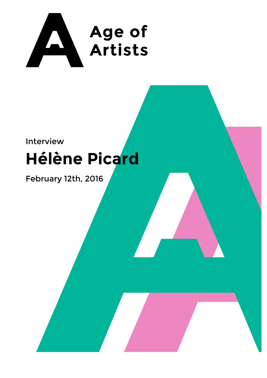

## Interview

# **Hélène Picard**

## February 12th, 2016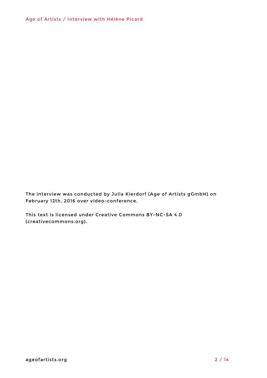The interview was conducted by Julia Kierdorf (Age of Artists gGmbH) on February 12th, 2016 over video-conference.

This text is licensed under Creative Commons BY-NC-SA 4.0 (creativecommons.org).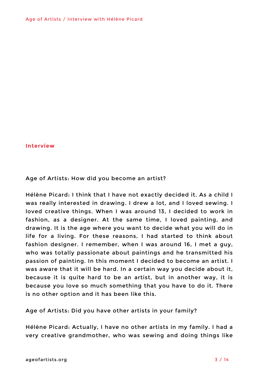#### **Interview**

### Age of Artists: How did you become an artist?

Hélène Picard: I think that I have not exactly decided it. As a child I was really interested in drawing. I drew a lot, and I loved sewing. I loved creative things. When I was around 13, I decided to work in fashion, as a designer. At the same time, I loved painting, and drawing. It is the age where you want to decide what you will do in life for a living. For these reasons, I had started to think about fashion designer. I remember, when I was around 16, I met a guy, who was totally passionate about paintings and he transmitted his passion of painting. In this moment I decided to become an artist. I was aware that it will be hard. In a certain way you decide about it, because it is quite hard to be an artist, but in another way, it is because you love so much something that you have to do it. There is no other option and it has been like this.

Age of Artists: Did you have other artists in your family?

Hélène Picard: Actually, I have no other artists in my family. I had a very creative grandmother, who was sewing and doing things like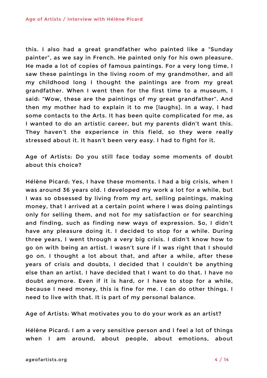this. I also had a great grandfather who painted like a "Sunday painter", as we say in French. He painted only for his own pleasure. He made a lot of copies of famous paintings. For a very long time, I saw these paintings in the living room of my grandmother, and all my childhood long I thought the paintings are from my great grandfather. When I went then for the first time to a museum, I said: "Wow, these are the paintings of my great grandfather". And then my mother had to explain it to me [laughs]. In a way, I had some contacts to the Arts. It has been quite complicated for me, as I wanted to do an artistic career, but my parents didn't want this. They haven't the experience in this field, so they were really stressed about it. It hasn't been very easy. I had to fight for it.

Age of Artists: Do you still face today some moments of doubt about this choice?

Hélène Picard: Yes, I have these moments. I had a big crisis, when I was around 36 years old. I developed my work a lot for a while, but I was so obsessed by living from my art, selling paintings, making money, that I arrived at a certain point where I was doing paintings only for selling them, and not for my satisfaction or for searching and finding, such as finding new ways of expression. So, I didn't have any pleasure doing it. I decided to stop for a while. During three years, I went through a very big crisis. I didn't know how to go on with being an artist. I wasn't sure if I was right that I should go on. I thought a lot about that, and after a while, after these years of crisis and doubts, I decided that I couldn't be anything else than an artist. I have decided that I want to do that. I have no doubt anymore. Even if it is hard, or I have to stop for a while, because I need money, this is fine for me. I can do other things. I need to live with that. It is part of my personal balance.

Age of Artists: What motivates you to do your work as an artist?

Hélène Picard: I am a very sensitive person and I feel a lot of things when I am around, about people, about emotions, about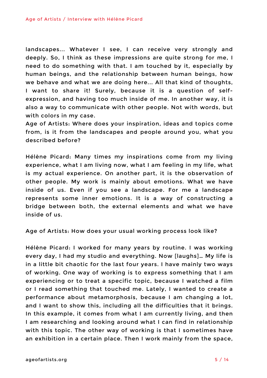landscapes... Whatever I see, I can receive very strongly and deeply. So, I think as these impressions are quite strong for me, I need to do something with that. I am touched by it, especially by human beings, and the relationship between human beings, how we behave and what we are doing here... All that kind of thoughts, I want to share it! Surely, because it is a question of selfexpression, and having too much inside of me. In another way, it is also a way to communicate with other people. Not with words, but with colors in my case.

Age of Artists: Where does your inspiration, ideas and topics come from, is it from the landscapes and people around you, what you described before?

Hélène Picard: Many times my inspirations come from my living experience, what I am living now, what I am feeling in my life, what is my actual experience. On another part, it is the observation of other people. My work is mainly about emotions. What we have inside of us. Even if you see a landscape. For me a landscape represents some inner emotions. It is a way of constructing a bridge between both, the external elements and what we have inside of us.

Age of Artists: How does your usual working process look like?

Hélène Picard: I worked for many years by routine. I was working every day, I had my studio and everything. Now [laughs]… My life is in a little bit chaotic for the last four years. I have mainly two ways of working. One way of working is to express something that I am experiencing or to treat a specific topic, because I watched a film or I read something that touched me. Lately, I wanted to create a performance about metamorphosis, because I am changing a lot, and I want to show this, including all the difficulties that it brings. In this example, it comes from what I am currently living, and then I am researching and looking around what I can find in relationship with this topic. The other way of working is that I sometimes have an exhibition in a certain place. Then I work mainly from the space,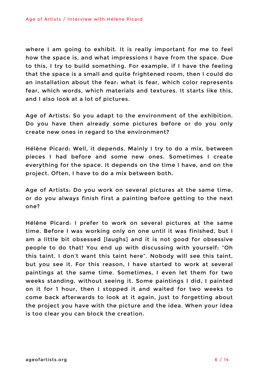where I am going to exhibit. It is really important for me to feel how the space is, and what impressions I have from the space. Due to this, I try to build something. For example, if I have the feeling that the space is a small and quite frightened room, then I could do an installation about the fear: what is fear, which color represents fear, which words, which materials and textures. It starts like this, and I also look at a lot of pictures.

Age of Artists: So you adapt to the environment of the exhibition. Do you have then already some pictures before or do you only create new ones in regard to the environment?

Hélène Picard: Well, it depends. Mainly I try to do a mix, between pieces I had before and some new ones. Sometimes I create everything for the space. It depends on the time I have, and on the project. Often, I have to do a mix between both.

Age of Artists: Do you work on several pictures at the same time, or do you always finish first a painting before getting to the next one?

Hélène Picard: I prefer to work on several pictures at the same time. Before I was working only on one until it was finished, but I am a little bit obsessed [laughs] and it is not good for obsessive people to do that! You end up with discussing with yourself: "Oh this taint. I don't want this taint here". Nobody will see this taint, but you see it. For this reason, I have started to work at several paintings at the same time. Sometimes, I even let them for two weeks standing, without seeing it. Some paintings I did, I painted on it for 1 hour, then I stopped it and waited for two weeks to come back afterwards to look at it again, just to forgetting about the project you have with the picture and the idea. When your idea is too clear you can block the creation.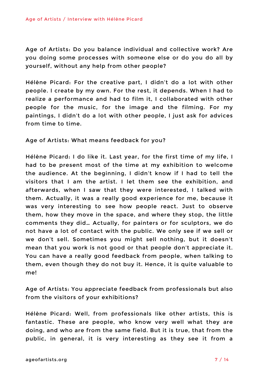Age of Artists: Do you balance individual and collective work? Are you doing some processes with someone else or do you do all by yourself, without any help from other people?

Hélène Picard: For the creative part, I didn't do a lot with other people. I create by my own. For the rest, it depends. When I had to realize a performance and had to film it, I collaborated with other people for the music, for the image and the filming. For my paintings, I didn't do a lot with other people, I just ask for advices from time to time.

Age of Artists: What means feedback for you?

Hélène Picard: I do like it. Last year, for the first time of my life, I had to be present most of the time at my exhibition to welcome the audience. At the beginning, I didn't know if I had to tell the visitors that I am the artist. I let them see the exhibition, and afterwards, when I saw that they were interested, I talked with them. Actually, it was a really good experience for me, because it was very interesting to see how people react. Just to observe them, how they move in the space, and where they stop, the little comments they did… Actually, for painters or for sculptors, we do not have a lot of contact with the public. We only see if we sell or we don't sell. Sometimes you might sell nothing, but it doesn't mean that you work is not good or that people don't appreciate it. You can have a really good feedback from people, when talking to them, even though they do not buy it. Hence, it is quite valuable to me!

Age of Artists: You appreciate feedback from professionals but also from the visitors of your exhibitions?

Hélène Picard: Well, from professionals like other artists, this is fantastic. These are people, who know very well what they are doing, and who are from the same field. But it is true, that from the public, in general, it is very interesting as they see it from a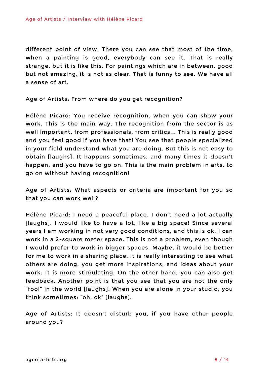different point of view. There you can see that most of the time, when a painting is good, everybody can see it. That is really strange, but it is like this. For paintings which are in between, good but not amazing, it is not as clear. That is funny to see. We have all a sense of art.

Age of Artists: From where do you get recognition?

Hélène Picard: You receive recognition, when you can show your work. This is the main way. The recognition from the sector is as well important, from professionals, from critics... This is really good and you feel good if you have that! You see that people specialized in your field understand what you are doing. But this is not easy to obtain [laughs]. It happens sometimes, and many times it doesn't happen, and you have to go on. This is the main problem in arts, to go on without having recognition!

Age of Artists: What aspects or criteria are important for you so that you can work well?

Hélène Picard: I need a peaceful place. I don't need a lot actually [laughs]. I would like to have a lot, like a big space! Since several years I am working in not very good conditions, and this is ok. I can work in a 2-square meter space. This is not a problem, even though I would prefer to work in bigger spaces. Maybe, it would be better for me to work in a sharing place. It is really interesting to see what others are doing, you get more inspirations, and ideas about your work. It is more stimulating. On the other hand, you can also get feedback. Another point is that you see that you are not the only "fool" in the world [laughs]. When you are alone in your studio, you think sometimes: "oh, ok" [laughs].

Age of Artists: It doesn't disturb you, if you have other people around you?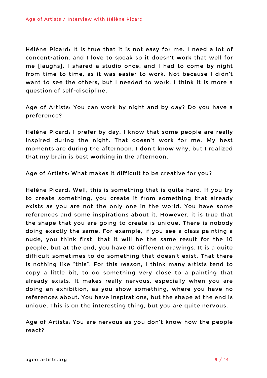Hélène Picard: It is true that it is not easy for me. I need a lot of concentration, and I love to speak so it doesn't work that well for me [laughs]. I shared a studio once, and I had to come by night from time to time, as it was easier to work. Not because I didn't want to see the others, but I needed to work. I think it is more a question of self-discipline.

Age of Artists: You can work by night and by day? Do you have a preference?

Hélène Picard: I prefer by day. I know that some people are really inspired during the night. That doesn't work for me. My best moments are during the afternoon. I don't know why, but I realized that my brain is best working in the afternoon.

Age of Artists: What makes it difficult to be creative for you?

Hélène Picard: Well, this is something that is quite hard. If you try to create something, you create it from something that already exists as you are not the only one in the world. You have some references and some inspirations about it. However, it is true that the shape that you are going to create is unique. There is nobody doing exactly the same. For example, if you see a class painting a nude, you think first, that it will be the same result for the 10 people, but at the end, you have 10 different drawings. It is a quite difficult sometimes to do something that doesn't exist. That there is nothing like "this". For this reason, I think many artists tend to copy a little bit, to do something very close to a painting that already exists. It makes really nervous, especially when you are doing an exhibition, as you show something, where you have no references about. You have inspirations, but the shape at the end is unique. This is on the interesting thing, but you are quite nervous.

Age of Artists: You are nervous as you don't know how the people react?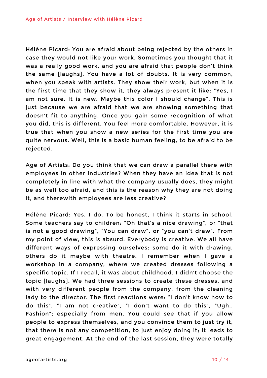Hélène Picard: You are afraid about being rejected by the others in case they would not like your work. Sometimes you thought that it was a really good work, and you are afraid that people don't think the same [laughs]. You have a lot of doubts. It is very common, when you speak with artists. They show their work, but when it is the first time that they show it, they always present it like: "Yes, I am not sure. It is new. Maybe this color I should change". This is just because we are afraid that we are showing something that doesn't fit to anything. Once you gain some recognition of what you did, this is different. You feel more comfortable. However, it is true that when you show a new series for the first time you are quite nervous. Well, this is a basic human feeling, to be afraid to be rejected.

Age of Artists: Do you think that we can draw a parallel there with employees in other industries? When they have an idea that is not completely in line with what the company usually does, they might be as well too afraid, and this is the reason why they are not doing it, and therewith employees are less creative?

Hélène Picard: Yes, I do. To be honest, I think it starts in school. Some teachers say to children: "Oh that's a nice drawing", or "that is not a good drawing", "You can draw", or "you can't draw". From my point of view, this is absurd. Everybody is creative. We all have different ways of expressing ourselves: some do it with drawing, others do it maybe with theatre. I remember when I gave a workshop in a company, where we created dresses following a specific topic. If I recall, it was about childhood. I didn't choose the topic [laughs]. We had three sessions to create these dresses, and with very different people from the company: from the cleaning lady to the director. The first reactions were: "I don't know how to do this", "I am not creative", "I don't want to do this", "Ugh.. Fashion"; especially from men. You could see that if you allow people to express themselves, and you convince them to just try it, that there is not any competition, to just enjoy doing it; it leads to great engagement. At the end of the last session, they were totally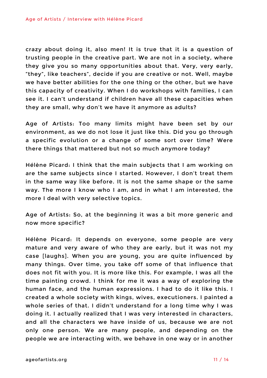crazy about doing it, also men! It is true that it is a question of trusting people in the creative part. We are not in a society, where they give you so many opportunities about that. Very, very early, "they", like teachers", decide if you are creative or not. Well, maybe we have better abilities for the one thing or the other, but we have this capacity of creativity. When I do workshops with families, I can see it. I can't understand if children have all these capacities when they are small, why don't we have it anymore as adults?

Age of Artists: Too many limits might have been set by our environment, as we do not lose it just like this. Did you go through a specific evolution or a change of some sort over time? Were there things that mattered but not so much anymore today?

Hélène Picard: I think that the main subjects that I am working on are the same subjects since I started. However, I don't treat them in the same way like before. It is not the same shape or the same way. The more I know who I am, and in what I am interested, the more I deal with very selective topics.

Age of Artists: So, at the beginning it was a bit more generic and now more specific?

Hélène Picard: It depends on everyone, some people are very mature and very aware of who they are early, but it was not my case [laughs]. When you are young, you are quite influenced by many things. Over time, you take off some of that influence that does not fit with you. It is more like this. For example, I was all the time painting crowd. I think for me it was a way of exploring the human face, and the human expressions. I had to do it like this. I created a whole society with kings, wives, executioners. I painted a whole series of that. I didn't understand for a long time why I was doing it. I actually realized that I was very interested in characters, and all the characters we have inside of us, because we are not only one person. We are many people, and depending on the people we are interacting with, we behave in one way or in another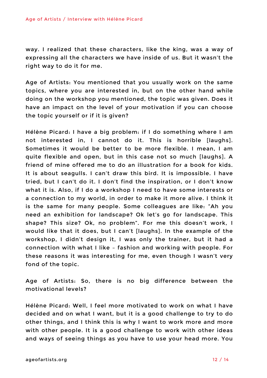way. I realized that these characters, like the king, was a way of expressing all the characters we have inside of us. But it wasn't the right way to do it for me.

Age of Artists: You mentioned that you usually work on the same topics, where you are interested in, but on the other hand while doing on the workshop you mentioned, the topic was given. Does it have an impact on the level of your motivation if you can choose the topic yourself or if it is given?

Hélène Picard: I have a big problem: if I do something where I am not interested in, I cannot do it. This is horrible [laughs]. Sometimes it would be better to be more flexible. I mean, I am quite flexible and open, but in this case not so much [laughs]. A friend of mine offered me to do an illustration for a book for kids. It is about seagulls. I can't draw this bird. It is impossible. I have tried, but I can't do it. I don't find the inspiration, or I don't know what it is. Also, if I do a workshop I need to have some interests or a connection to my world, in order to make it more alive. I think it is the same for many people. Some colleagues are like: "Ah you need an exhibition for landscape? Ok let's go for landscape. This shape? This size? Ok, no problem". For me this doesn't work, I would like that it does, but I can't [laughs]. In the example of the workshop, I didn't design it, I was only the trainer, but it had a connection with what I like – fashion and working with people. For these reasons it was interesting for me, even though I wasn't very fond of the topic.

Age of Artists: So, there is no big difference between the motivational levels?

Hélène Picard: Well, I feel more motivated to work on what I have decided and on what I want, but it is a good challenge to try to do other things, and I think this is why I want to work more and more with other people. It is a good challenge to work with other ideas and ways of seeing things as you have to use your head more. You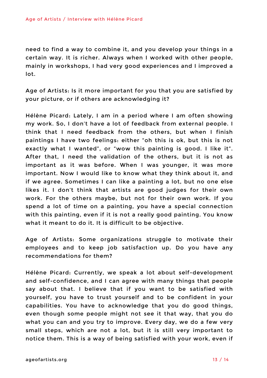need to find a way to combine it, and you develop your things in a certain way. It is richer. Always when I worked with other people, mainly in workshops, I had very good experiences and I improved a lot.

Age of Artists: Is it more important for you that you are satisfied by your picture, or if others are acknowledging it?

Hélène Picard: Lately, I am in a period where I am often showing my work. So, I don't have a lot of feedback from external people. I think that I need feedback from the others, but when I finish paintings I have two feelings: either "oh this is ok, but this is not exactly what I wanted", or "wow this painting is good. I like it". After that, I need the validation of the others, but it is not as important as it was before. When I was younger, it was more important. Now I would like to know what they think about it, and if we agree. Sometimes I can like a painting a lot, but no one else likes it. I don't think that artists are good judges for their own work. For the others maybe, but not for their own work. If you spend a lot of time on a painting, you have a special connection with this painting, even if it is not a really good painting. You know what it meant to do it. It is difficult to be objective.

Age of Artists: Some organizations struggle to motivate their employees and to keep job satisfaction up. Do you have any recommendations for them?

Hélène Picard: Currently, we speak a lot about self-development and self-confidence, and I can agree with many things that people say about that. I believe that if you want to be satisfied with yourself, you have to trust yourself and to be confident in your capabilities. You have to acknowledge that you do good things, even though some people might not see it that way, that you do what you can and you try to improve. Every day, we do a few very small steps, which are not a lot, but it is still very important to notice them. This is a way of being satisfied with your work, even if